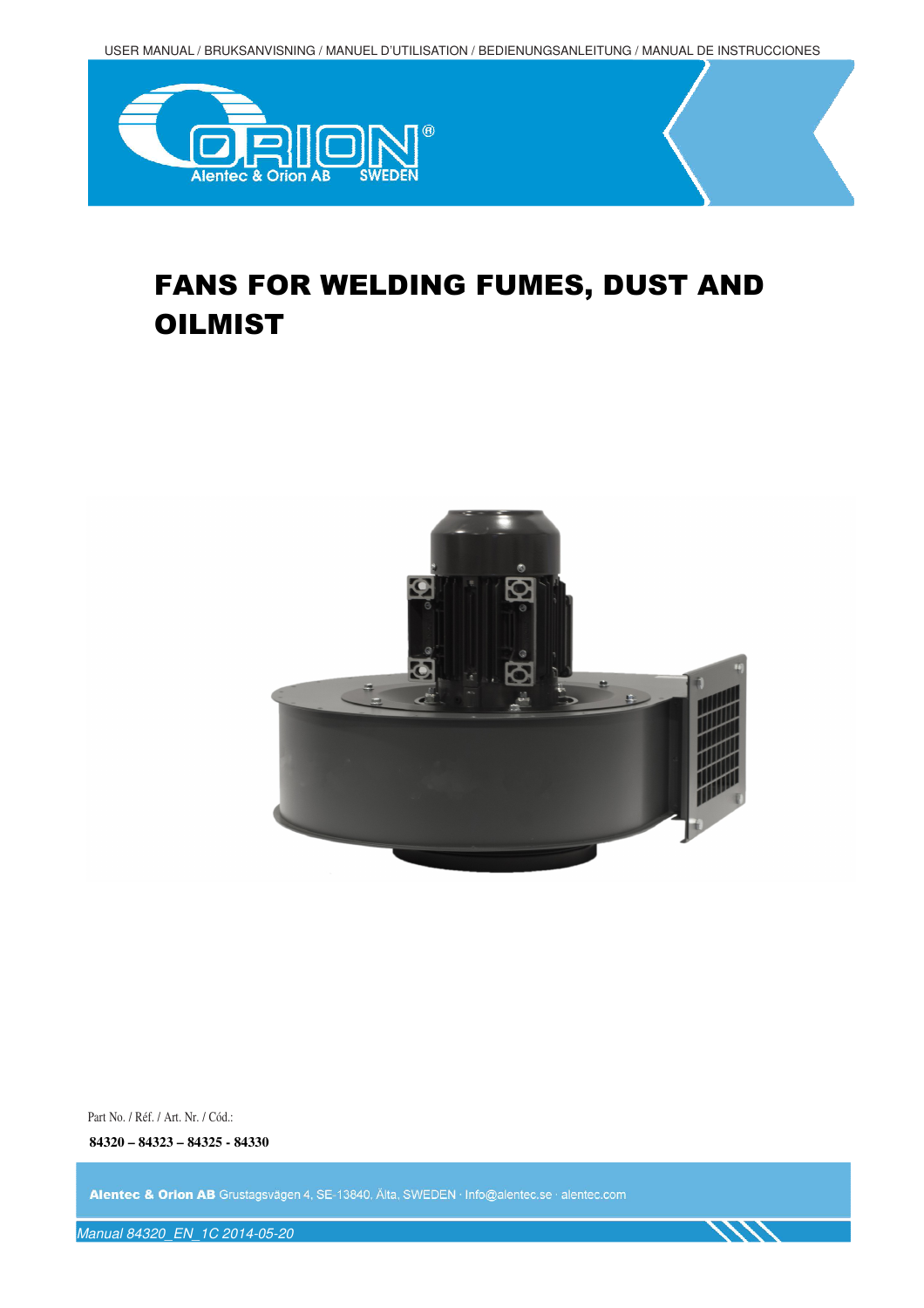USER MANUAL / BRUKSANVISNING / MANUEL D'UTILISATION / BEDIENUNGSANLEITUNG / MANUAL DE INSTRUCCIONES



# FANS FOR WELDING FUMES, DUST AND **OILMIST**



Part No. / Réf. / Art. Nr. / Cód.:

**84320 – 84323 – 84325 - 84330** 

Alentec & Orion AB Grustagsvägen 4, SE-13840, Älta, SWEDEN · Info@alentec.se · alentec.com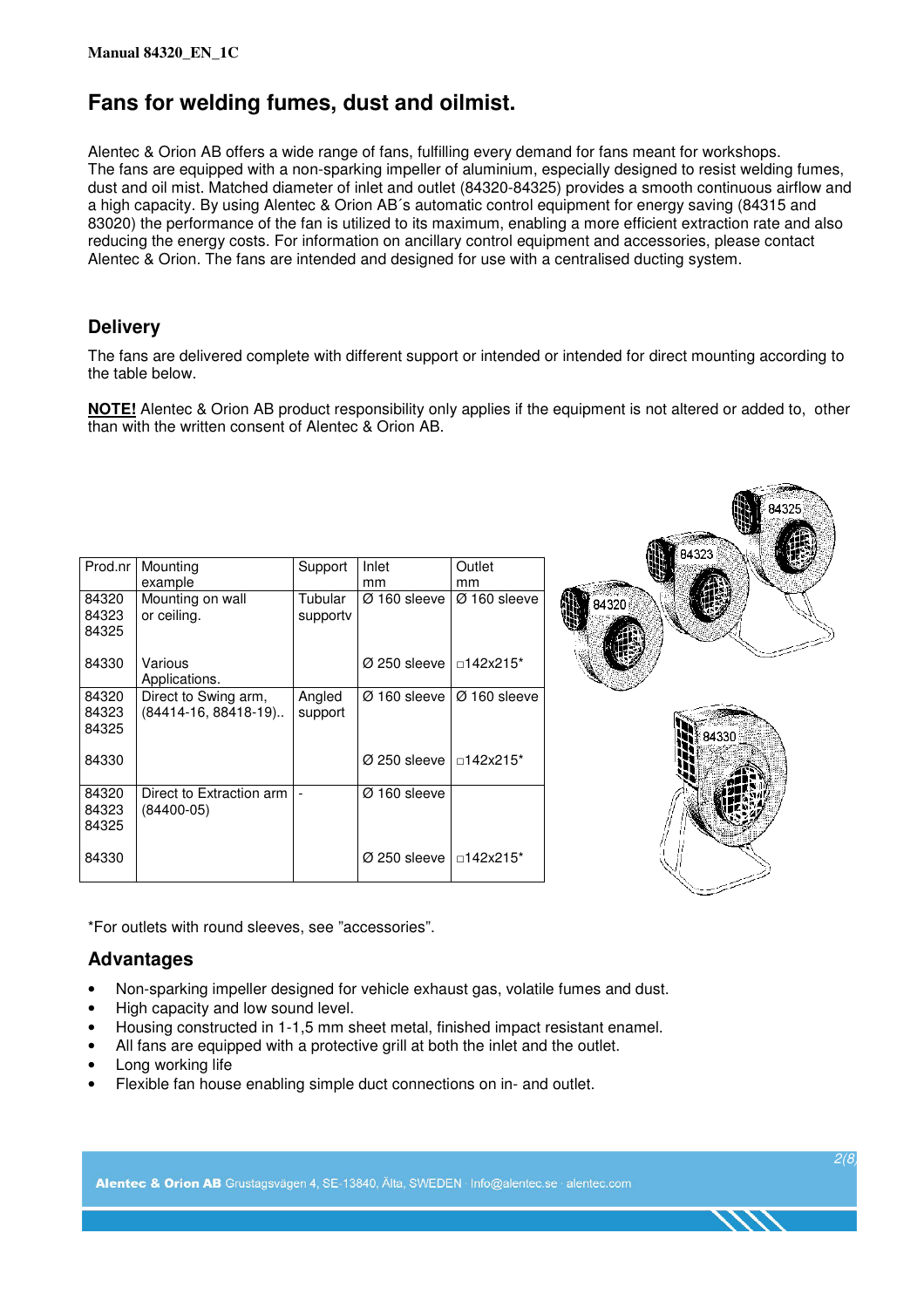### **Fans for welding fumes, dust and oilmist.**

Alentec & Orion AB offers a wide range of fans, fulfilling every demand for fans meant for workshops. The fans are equipped with a non-sparking impeller of aluminium, especially designed to resist welding fumes, dust and oil mist. Matched diameter of inlet and outlet (84320-84325) provides a smooth continuous airflow and a high capacity. By using Alentec & Orion AB´s automatic control equipment for energy saving (84315 and 83020) the performance of the fan is utilized to its maximum, enabling a more efficient extraction rate and also reducing the energy costs. For information on ancillary control equipment and accessories, please contact Alentec & Orion. The fans are intended and designed for use with a centralised ducting system.

### **Delivery**

The fans are delivered complete with different support or intended or intended for direct mounting according to the table below.

**NOTE!** Alentec & Orion AB product responsibility only applies if the equipment is not altered or added to, other than with the written consent of Alentec & Orion AB.

| Prod.nr                 | Mounting<br>example                            | Support             | Inlet<br>mm              | Outlet<br>mm             | XIX /<br>84323 |
|-------------------------|------------------------------------------------|---------------------|--------------------------|--------------------------|----------------|
| 84320<br>84323<br>84325 | Mounting on wall<br>or ceiling.                | Tubular<br>supporty | Ø 160 sleeve             | $Ø$ 160 sleeve           | 84320          |
| 84330                   | Various<br>Applications.                       |                     | $\varnothing$ 250 sleeve | □142x215*                |                |
| 84320<br>84323<br>84325 | Direct to Swing arm,<br>$(84414-16, 88418-19)$ | Angled<br>support   | $\varnothing$ 160 sleeve | $\varnothing$ 160 sleeve | 84330          |
| 84330                   |                                                |                     | $\varnothing$ 250 sleeve | □142x215*                |                |
| 84320<br>84323<br>84325 | Direct to Extraction arm<br>$(84400-05)$       |                     | Ø 160 sleeve             |                          |                |
| 84330                   |                                                |                     | $\varnothing$ 250 sleeve | □142x215*                |                |

\*For outlets with round sleeves, see "accessories".

### **Advantages**

- Non-sparking impeller designed for vehicle exhaust gas, volatile fumes and dust.
- High capacity and low sound level.
- Housing constructed in 1-1,5 mm sheet metal, finished impact resistant enamel.
- All fans are equipped with a protective grill at both the inlet and the outlet.
- Long working life
- Flexible fan house enabling simple duct connections on in- and outlet.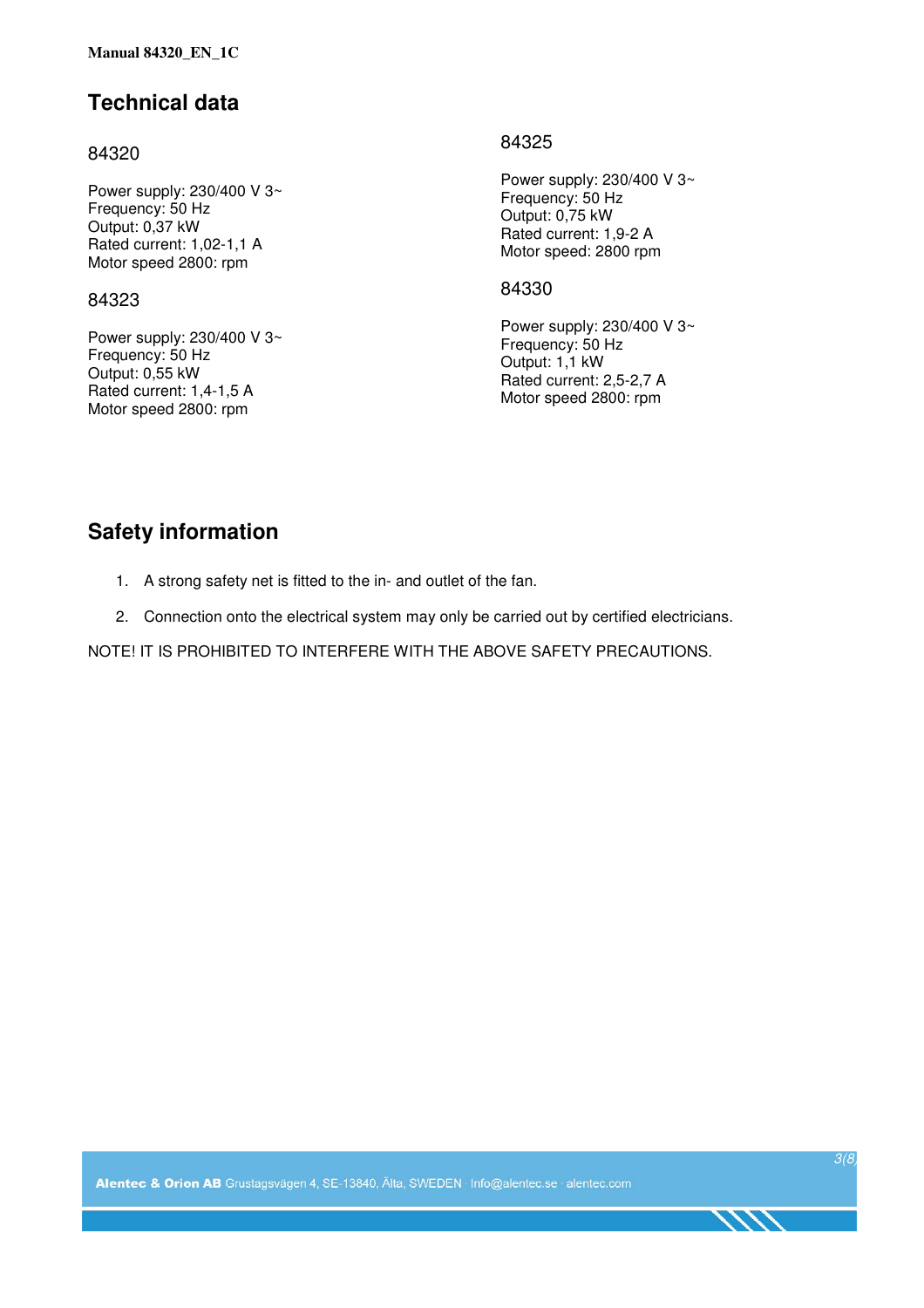### **Technical data**

### 84320

Power supply: 230/400 V 3~ Frequency: 50 Hz Output: 0,37 kW Rated current: 1,02-1,1 A Motor speed 2800: rpm

#### 84323

Power supply: 230/400 V 3~ Frequency: 50 Hz Output: 0,55 kW Rated current: 1,4-1,5 A Motor speed 2800: rpm

### 84325

Power supply: 230/400 V 3~ Frequency: 50 Hz Output: 0,75 kW Rated current: 1,9-2 A Motor speed: 2800 rpm

### 84330

Power supply: 230/400 V 3~ Frequency: 50 Hz Output: 1,1 kW Rated current: 2,5-2,7 A Motor speed 2800: rpm

### **Safety information**

- 1. A strong safety net is fitted to the in- and outlet of the fan.
- 2. Connection onto the electrical system may only be carried out by certified electricians.

NOTE! IT IS PROHIBITED TO INTERFERE WITH THE ABOVE SAFETY PRECAUTIONS.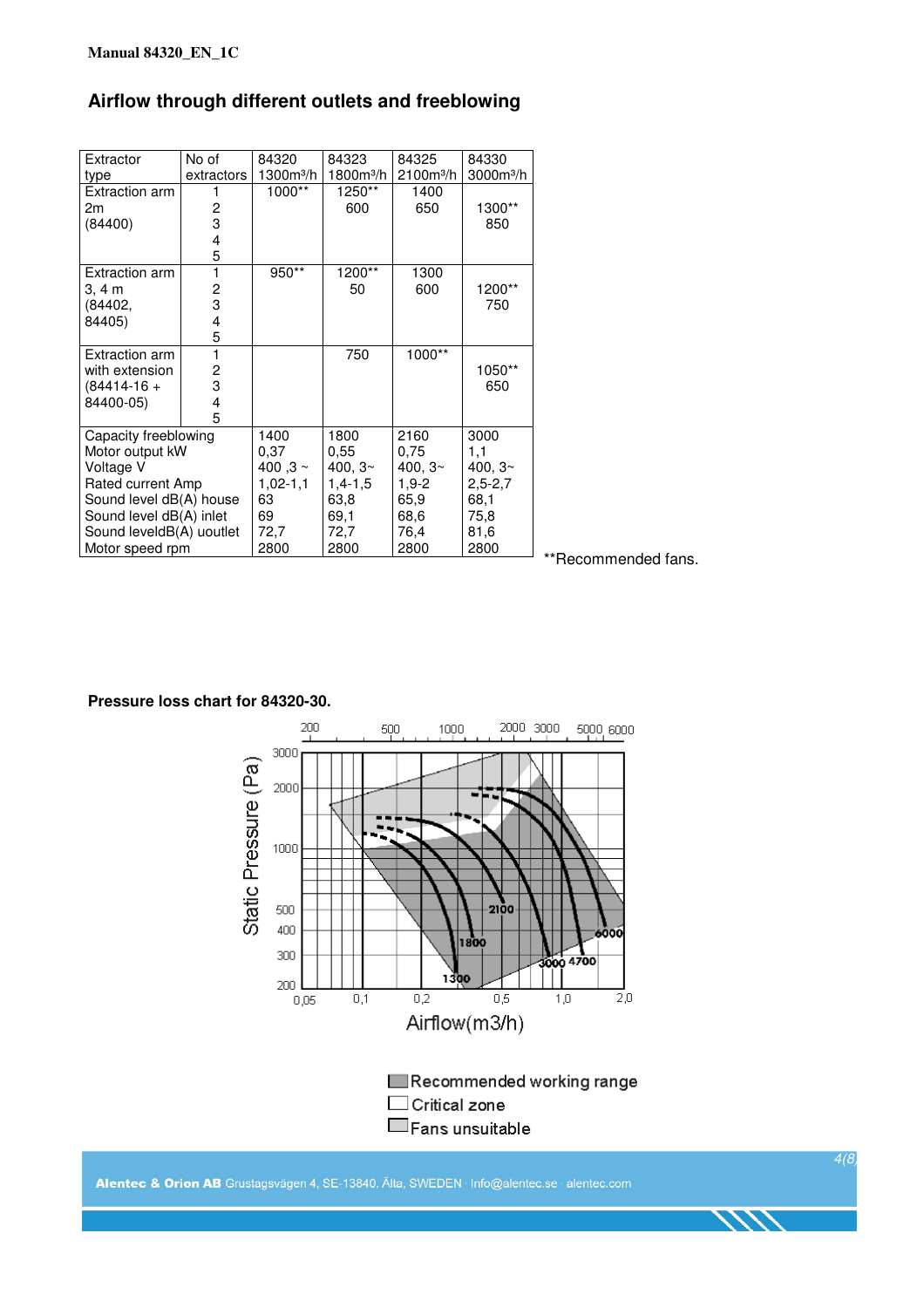### **Airflow through different outlets and freeblowing**

| Extractor                | No of          | 84320        | 84323                 | 84325       | 84330        |
|--------------------------|----------------|--------------|-----------------------|-------------|--------------|
| type                     | extractors     | $1300m^3/h$  | 1800m <sup>3</sup> /h | $2100m^3/h$ | $3000m^3/h$  |
| <b>Extraction arm</b>    |                | 1000**       | 1250**                | 1400        |              |
| 2m                       | 2              |              | 600                   | 650         | 1300**       |
| (84400)                  | 3              |              |                       |             | 850          |
|                          | $\overline{4}$ |              |                       |             |              |
|                          | 5              |              |                       |             |              |
| <b>Extraction arm</b>    | 1              | 950**        | 1200**                | 1300        |              |
| 3, 4 m                   | 2              |              | 50                    | 600         | 1200**       |
| (84402,                  | 3              |              |                       |             | 750          |
| 84405)                   | 4              |              |                       |             |              |
|                          | 5              |              |                       |             |              |
| Extraction arm           | 1              |              | 750                   | 1000**      |              |
| with extension           | 2              |              |                       |             | 1050**       |
| $(84414-16 +$            | 3              |              |                       |             | 650          |
| 84400-05)                | 4              |              |                       |             |              |
|                          | 5              |              |                       |             |              |
| Capacity freeblowing     |                | 1400         | 1800                  | 2160        | 3000         |
| Motor output kW          |                | 0.37         | 0.55                  | 0,75        | 1,1          |
| Voltage V                |                | 400,3 $\sim$ | 400, $32$             | 400, $32$   | 400, $3\sim$ |
| Rated current Amp        |                | $1,02-1,1$   | $1,4-1,5$             | $1,9-2$     | $2,5 - 2,7$  |
| Sound level dB(A) house  |                | 63           | 63,8                  | 65,9        | 68,1         |
| Sound level dB(A) inlet  |                | 69           | 69.1                  | 68,6        | 75,8         |
| Sound leveldB(A) uoutlet |                | 72,7         | 72,7                  | 76,4        | 81,6         |
| Motor speed rpm          |                | 2800         | 2800                  | 2800        | 2800         |

\*\*Recommended fans.

#### **Pressure loss chart for 84320-30.**



Alentec & Orion AB Grustagsvägen 4, SE-13840, Älta, SWEDEN · Info@alentec.se · alentec.com

4(8)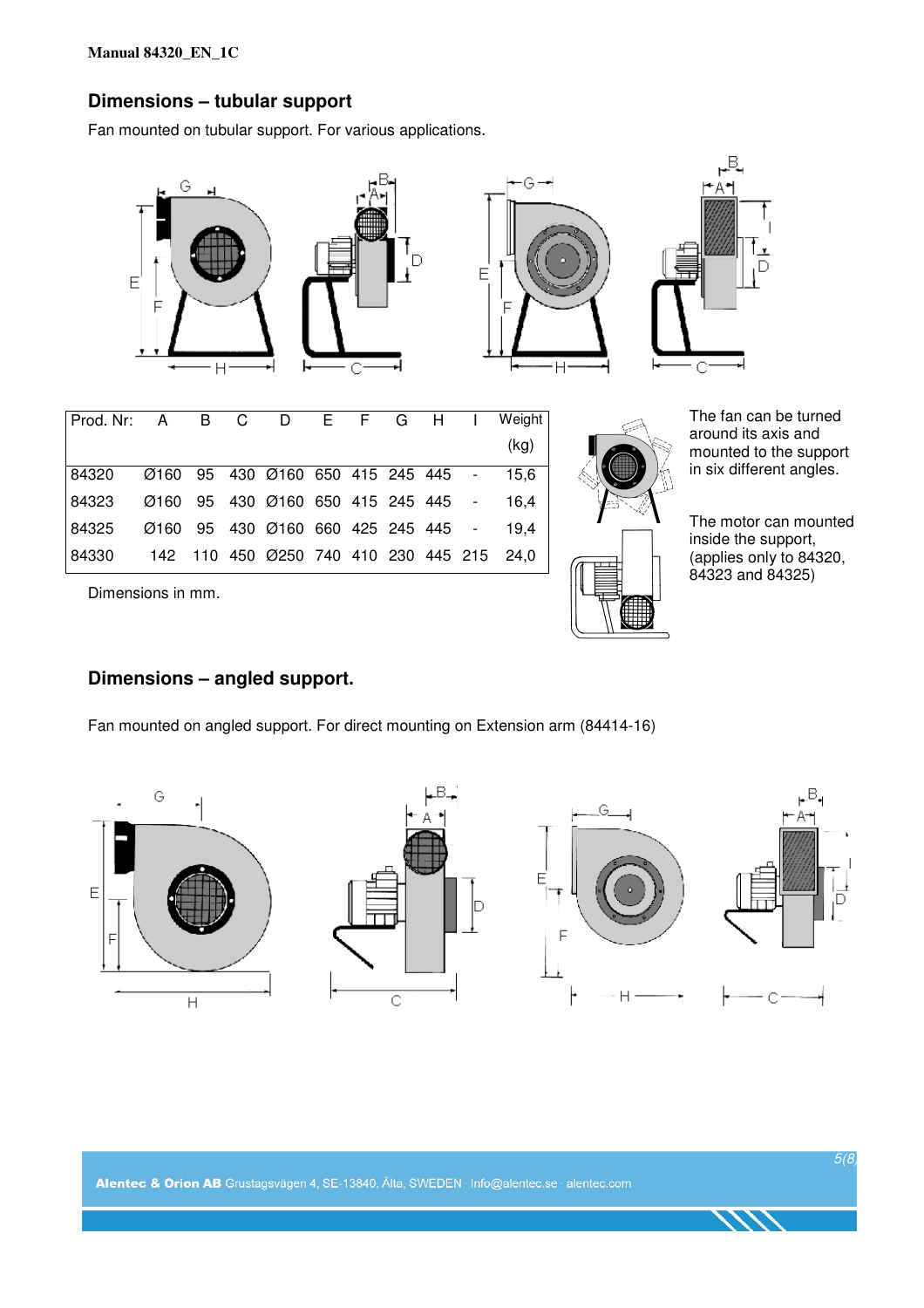### **Dimensions – tubular support**

Fan mounted on tubular support. For various applications.



### **Dimensions – angled support.**

Fan mounted on angled support. For direct mounting on Extension arm (84414-16)

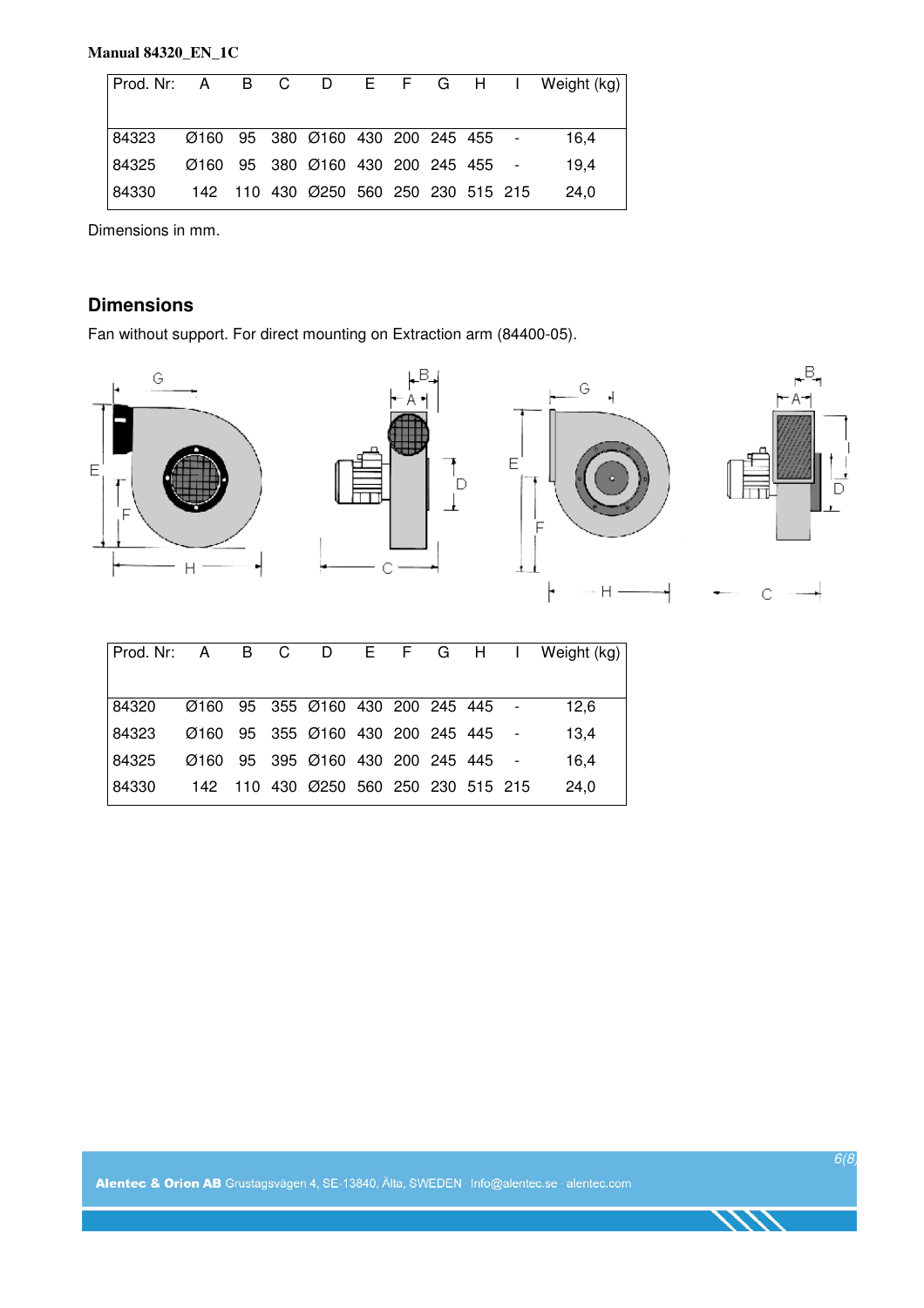### **Manual 84320\_EN\_1C**

|                                                 |  |  |  |  | Prod. Nr: A B C D E F G H I Weight (kg) |
|-------------------------------------------------|--|--|--|--|-----------------------------------------|
|                                                 |  |  |  |  |                                         |
|                                                 |  |  |  |  |                                         |
|                                                 |  |  |  |  |                                         |
|                                                 |  |  |  |  |                                         |
| 84330 142 110 430 0250 560 250 230 515 215 24,0 |  |  |  |  |                                         |

Dimensions in mm.

### **Dimensions**

Fan without support. For direct mounting on Extraction arm (84400-05).



|                                                                |  |  |  |  | 12.6 |
|----------------------------------------------------------------|--|--|--|--|------|
| l84323     Ø160   95   355  Ø160  430  200  245  445    -      |  |  |  |  | 13.4 |
| 84325     Ø160   95   395   Ø160   430   200   245   445     - |  |  |  |  | 16.4 |
| 84330      142    110  430  Ø250  560  250  230  515  215      |  |  |  |  | 24.0 |
|                                                                |  |  |  |  |      |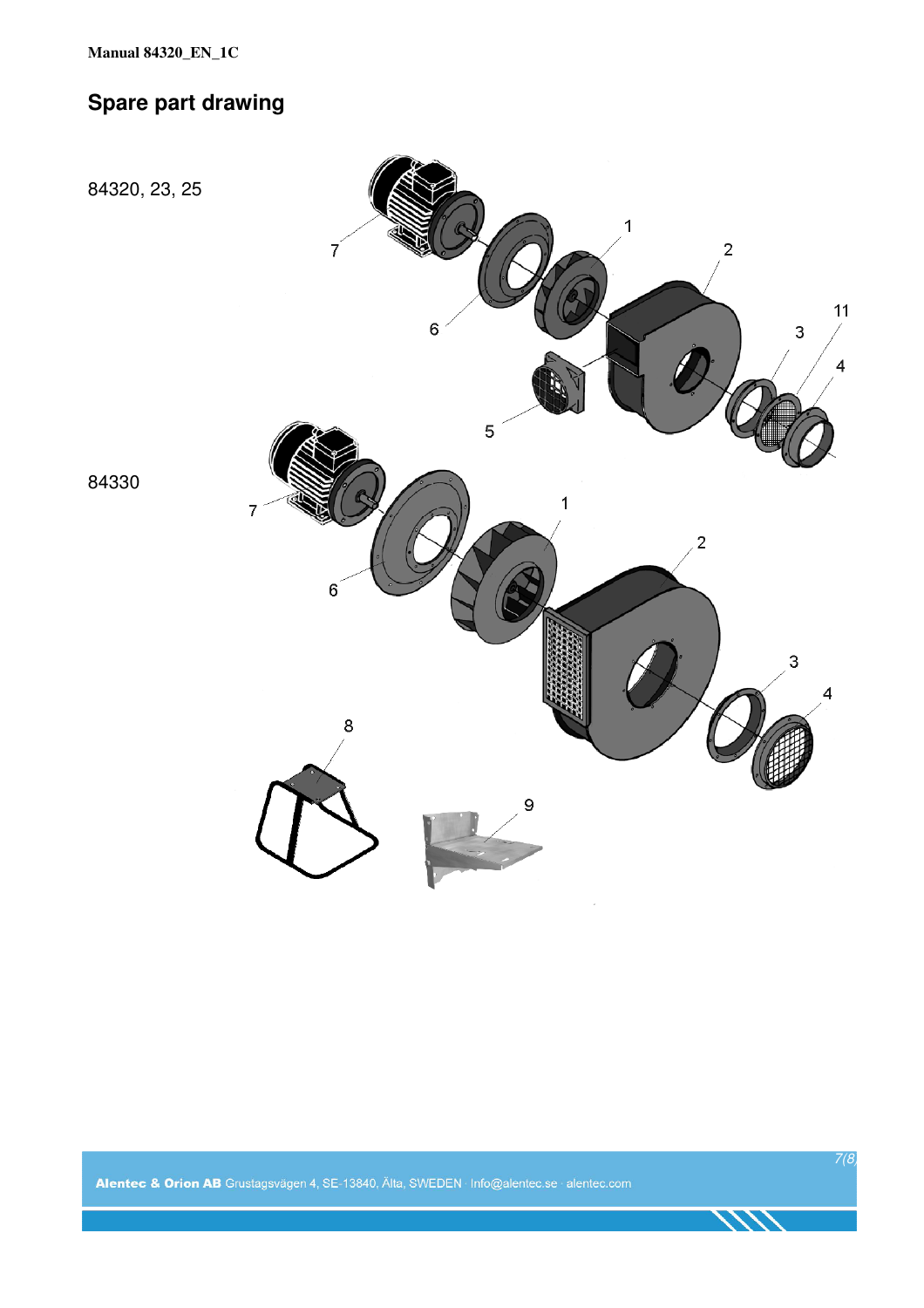## **Spare part drawing**

84320, 23, 25



84330

Alentec & Orion AB Grustagsvägen 4, SE-13840, Älta, SWEDEN · Info@alentec.se · alentec.com